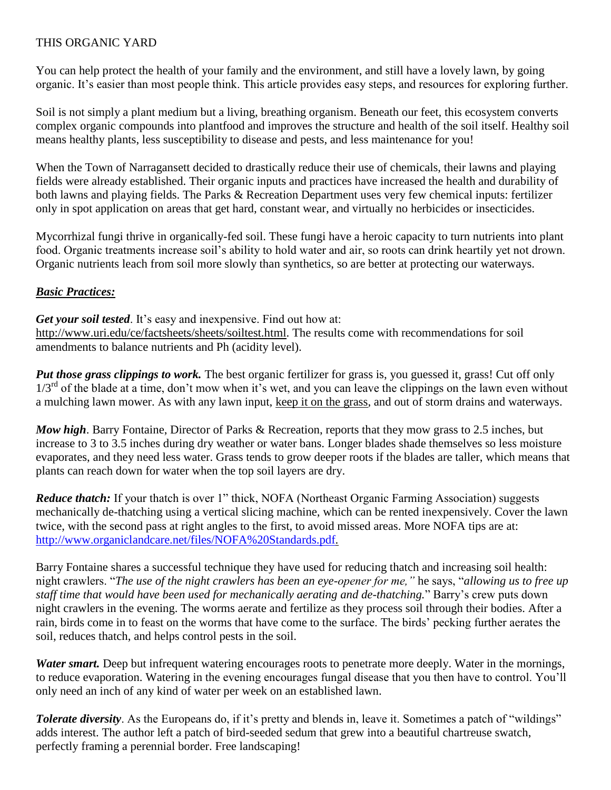## THIS ORGANIC YARD

You can help protect the health of your family and the environment, and still have a lovely lawn, by going organic. It's easier than most people think. This article provides easy steps, and resources for exploring further.

Soil is not simply a plant medium but a living, breathing organism. Beneath our feet, this ecosystem converts complex organic compounds into plantfood and improves the structure and health of the soil itself. Healthy soil means healthy plants, less susceptibility to disease and pests, and less maintenance for you!

When the Town of Narragansett decided to drastically reduce their use of chemicals, their lawns and playing fields were already established. Their organic inputs and practices have increased the health and durability of both lawns and playing fields. The Parks & Recreation Department uses very few chemical inputs: fertilizer only in spot application on areas that get hard, constant wear, and virtually no herbicides or insecticides.

Mycorrhizal fungi thrive in organically-fed soil. These fungi have a heroic capacity to turn nutrients into plant food. Organic treatments increase soil's ability to hold water and air, so roots can drink heartily yet not drown. Organic nutrients leach from soil more slowly than synthetics, so are better at protecting our waterways.

## *Basic Practices:*

*Get your soil tested*. It's easy and inexpensive. Find out how at: [http://www.uri.edu/ce/factsheets/sheets/soiltest.html.](http://www.uri.edu/ce/factsheets/sheets/soiltest.html) The results come with recommendations for soil amendments to balance nutrients and Ph (acidity level).

*Put those grass clippings to work.* The best organic fertilizer for grass is, you guessed it, grass! Cut off only  $1/3<sup>rd</sup>$  of the blade at a time, don't mow when it's wet, and you can leave the clippings on the lawn even without a mulching lawn mower. As with any lawn input, keep it on the grass, and out of storm drains and waterways.

*Mow high*. Barry Fontaine, Director of Parks & Recreation, reports that they mow grass to 2.5 inches, but increase to 3 to 3.5 inches during dry weather or water bans. Longer blades shade themselves so less moisture evaporates, and they need less water. Grass tends to grow deeper roots if the blades are taller, which means that plants can reach down for water when the top soil layers are dry.

*Reduce thatch:* If your thatch is over 1" thick, NOFA (Northeast Organic Farming Association) suggests mechanically de-thatching using a vertical slicing machine, which can be rented inexpensively. Cover the lawn twice, with the second pass at right angles to the first, to avoid missed areas. More NOFA tips are at: [http://www.organiclandcare.net/files/NOFA%20Standards.pdf.](http://www.organiclandcare.net/files/NOFA%20Standards.pdf)

Barry Fontaine shares a successful technique they have used for reducing thatch and increasing soil health: night crawlers. "*The use of the night crawlers has been an eye-opener for me,"* he says, "*allowing us to free up staff time that would have been used for mechanically aerating and de-thatching.*" Barry's crew puts down night crawlers in the evening. The worms aerate and fertilize as they process soil through their bodies. After a rain, birds come in to feast on the worms that have come to the surface. The birds' pecking further aerates the soil, reduces thatch, and helps control pests in the soil.

*Water smart.* Deep but infrequent watering encourages roots to penetrate more deeply. Water in the mornings, to reduce evaporation. Watering in the evening encourages fungal disease that you then have to control. You'll only need an inch of any kind of water per week on an established lawn.

*Tolerate diversity*. As the Europeans do, if it's pretty and blends in, leave it. Sometimes a patch of "wildings" adds interest. The author left a patch of bird-seeded sedum that grew into a beautiful chartreuse swatch, perfectly framing a perennial border. Free landscaping!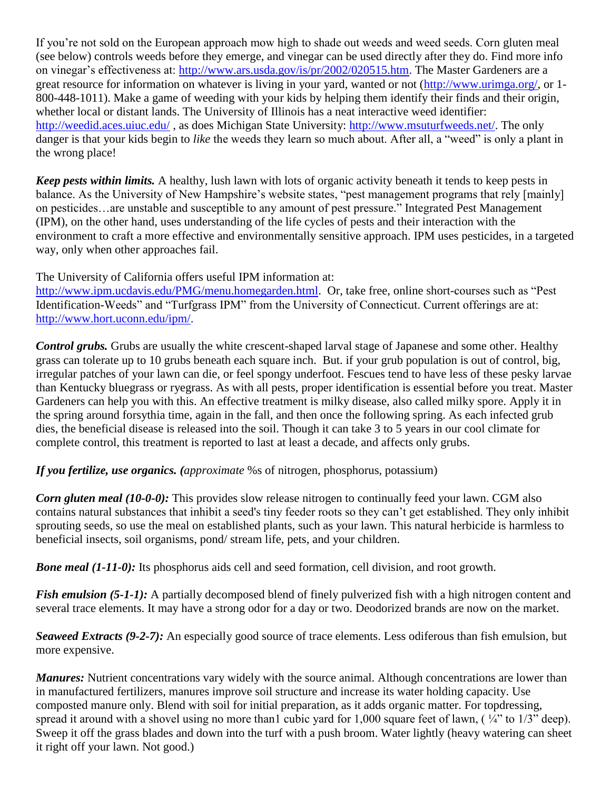If you're not sold on the European approach mow high to shade out weeds and weed seeds. Corn gluten meal (see below) controls weeds before they emerge, and vinegar can be used directly after they do. Find more info on vinegar's effectiveness at: [http://www.ars.usda.gov/is/pr/2002/020515.htm.](http://www.ars.usda.gov/is/pr/2002/020515.htm) The Master Gardeners are a great resource for information on whatever is living in your yard, wanted or not [\(http://www.urimga.org/,](http://www.urimga.org/) or 1- 800-448-1011). Make a game of weeding with your kids by helping them identify their finds and their origin, whether local or distant lands. The University of Illinois has a neat interactive weed identifier: <http://weedid.aces.uiuc.edu/> , as does Michigan State University: [http://www.msuturfweeds.net/.](http://www.msuturfweeds.net/) The only danger is that your kids begin to *like* the weeds they learn so much about. After all, a "weed" is only a plant in the wrong place!

*Keep pests within limits.* A healthy, lush lawn with lots of organic activity beneath it tends to keep pests in balance. As the University of New Hampshire's website states, "pest management programs that rely [mainly] on pesticides…are unstable and susceptible to any amount of pest pressure." Integrated Pest Management (IPM), on the other hand, uses understanding of the life cycles of pests and their interaction with the environment to craft a more effective and environmentally sensitive approach. IPM uses pesticides, in a targeted way, only when other approaches fail.

The University of California offers useful IPM information at:

[http://www.ipm.ucdavis.edu/PMG/menu.homegarden.html.](http://www.ipm.ucdavis.edu/PMG/menu.homegarden.html) Or, take free, online short-courses such as "Pest Identification-Weeds" and "Turfgrass IPM" from the University of Connecticut. Current offerings are at: [http://www.hort.uconn.edu/ipm/.](http://www.hort.uconn.edu/ipm/)

*Control grubs.* Grubs are usually the white crescent-shaped larval stage of Japanese and some other. Healthy grass can tolerate up to 10 grubs beneath each square inch. But. if your grub population is out of control, big, irregular patches of your lawn can die, or feel spongy underfoot. Fescues tend to have less of these pesky larvae than Kentucky bluegrass or ryegrass. As with all pests, proper identification is essential before you treat. Master Gardeners can help you with this. An effective treatment is milky disease, also called milky spore. Apply it in the spring around forsythia time, again in the fall, and then once the following spring. As each infected grub dies, the beneficial disease is released into the soil. Though it can take 3 to 5 years in our cool climate for complete control, this treatment is reported to last at least a decade, and affects only grubs.

*If you fertilize, use organics. (approximate* %s of nitrogen, phosphorus, potassium)

*Corn gluten meal (10-0-0):* This provides slow release nitrogen to continually feed your lawn. CGM also contains natural substances that inhibit a seed's tiny feeder roots so they can't get established. They only inhibit sprouting seeds, so use the meal on established plants, such as your lawn. This natural herbicide is harmless to beneficial insects, soil organisms, pond/ stream life, pets, and your children.

*Bone meal* (1-11-0): Its phosphorus aids cell and seed formation, cell division, and root growth.

*Fish emulsion (5-1-1):* A partially decomposed blend of finely pulverized fish with a high nitrogen content and several trace elements. It may have a strong odor for a day or two. Deodorized brands are now on the market.

*Seaweed Extracts (9-2-7):* An especially good source of trace elements. Less odiferous than fish emulsion, but more expensive.

*Manures:* Nutrient concentrations vary widely with the source animal. Although concentrations are lower than in manufactured fertilizers, manures improve soil structure and increase its water holding capacity. Use composted manure only. Blend with soil for initial preparation, as it adds organic matter. For topdressing, spread it around with a shovel using no more than1 cubic yard for  $1,000$  square feet of lawn, ( $\frac{1}{4}$ " to  $1/3$ " deep). Sweep it off the grass blades and down into the turf with a push broom. Water lightly (heavy watering can sheet it right off your lawn. Not good.)